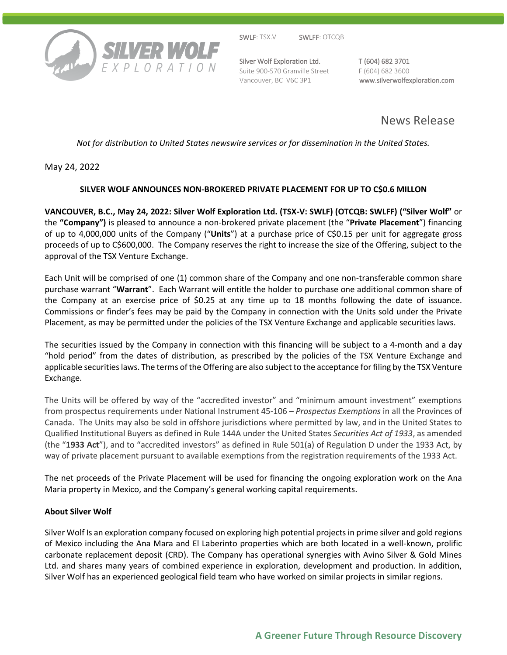

SWLF: TSX.V SWLFF: OTCQB

Silver Wolf Exploration Ltd. T (604) 682 3701 Suite 900-570 Granville Street F (604) 682 3600

Vancouver, BC V6C 3P1 www.silverwolfexploration.com

News Release

*Not for distribution to United States newswire services or for dissemination in the United States.*

May 24, 2022

# **SILVER WOLF ANNOUNCES NON-BROKERED PRIVATE PLACEMENT FOR UP TO C\$0.6 MILLON**

**VANCOUVER, B.C., May 24, 2022: Silver Wolf Exploration Ltd. (TSX-V: SWLF) (OTCQB: SWLFF) ("Silver Wolf"** or the **"Company")** is pleased to announce a non-brokered private placement (the "**Private Placement**") financing of up to 4,000,000 units of the Company ("**Units**") at a purchase price of C\$0.15 per unit for aggregate gross proceeds of up to C\$600,000. The Company reserves the right to increase the size of the Offering, subject to the approval of the TSX Venture Exchange.

Each Unit will be comprised of one (1) common share of the Company and one non-transferable common share purchase warrant "**Warrant**". Each Warrant will entitle the holder to purchase one additional common share of the Company at an exercise price of \$0.25 at any time up to 18 months following the date of issuance. Commissions or finder's fees may be paid by the Company in connection with the Units sold under the Private Placement, as may be permitted under the policies of the TSX Venture Exchange and applicable securities laws.

The securities issued by the Company in connection with this financing will be subject to a 4-month and a day "hold period" from the dates of distribution, as prescribed by the policies of the TSX Venture Exchange and applicable securities laws. The terms of the Offering are also subject to the acceptance for filing by the TSX Venture Exchange.

The Units will be offered by way of the "accredited investor" and "minimum amount investment" exemptions from prospectus requirements under National Instrument 45-106 – *Prospectus Exemptions* in all the Provinces of Canada. The Units may also be sold in offshore jurisdictions where permitted by law, and in the United States to Qualified Institutional Buyers as defined in Rule 144A under the United States *Securities Act of 1933*, as amended (the "**1933 Act**"), and to "accredited investors" as defined in Rule 501(a) of Regulation D under the 1933 Act, by way of private placement pursuant to available exemptions from the registration requirements of the 1933 Act.

The net proceeds of the Private Placement will be used for financing the ongoing exploration work on the Ana Maria property in Mexico, and the Company's general working capital requirements.

## **About Silver Wolf**

Silver Wolf Is an exploration company focused on exploring high potential projects in prime silver and gold regions of Mexico including the Ana Mara and El Laberinto properties which are both located in a well-known, prolific carbonate replacement deposit (CRD). The Company has operational synergies with Avino Silver & Gold Mines Ltd. and shares many years of combined experience in exploration, development and production. In addition, Silver Wolf has an experienced geological field team who have worked on similar projects in similar regions.